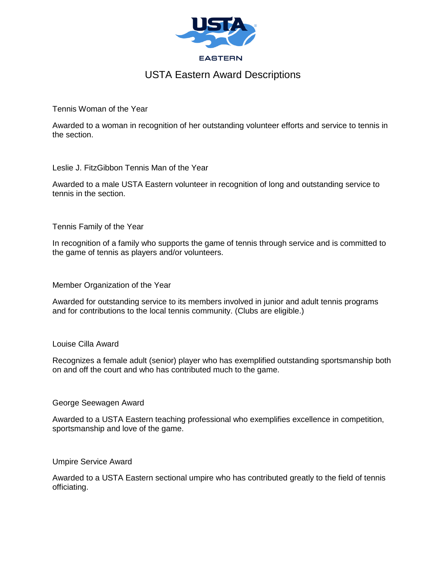

# USTA Eastern Award Descriptions

Tennis Woman of the Year

Awarded to a woman in recognition of her outstanding volunteer efforts and service to tennis in the section.

Leslie J. FitzGibbon Tennis Man of the Year

Awarded to a male USTA Eastern volunteer in recognition of long and outstanding service to tennis in the section.

Tennis Family of the Year

In recognition of a family who supports the game of tennis through service and is committed to the game of tennis as players and/or volunteers.

Member Organization of the Year

Awarded for outstanding service to its members involved in junior and adult tennis programs and for contributions to the local tennis community. (Clubs are eligible.)

### Louise Cilla Award

Recognizes a female adult (senior) player who has exemplified outstanding sportsmanship both on and off the court and who has contributed much to the game.

### George Seewagen Award

Awarded to a USTA Eastern teaching professional who exemplifies excellence in competition, sportsmanship and love of the game.

Umpire Service Award

Awarded to a USTA Eastern sectional umpire who has contributed greatly to the field of tennis officiating.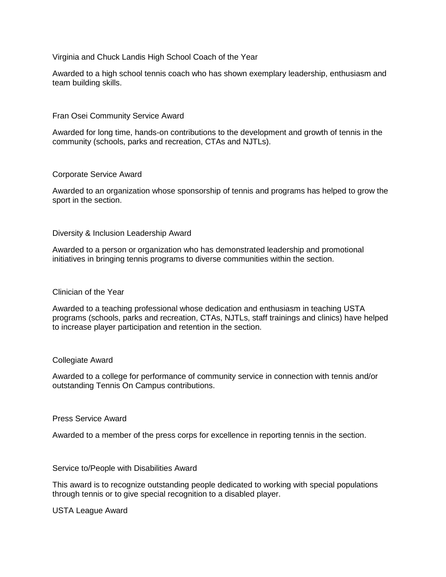Virginia and Chuck Landis High School Coach of the Year

Awarded to a high school tennis coach who has shown exemplary leadership, enthusiasm and team building skills.

Fran Osei Community Service Award

Awarded for long time, hands-on contributions to the development and growth of tennis in the community (schools, parks and recreation, CTAs and NJTLs).

## Corporate Service Award

Awarded to an organization whose sponsorship of tennis and programs has helped to grow the sport in the section.

## Diversity & Inclusion Leadership Award

Awarded to a person or organization who has demonstrated leadership and promotional initiatives in bringing tennis programs to diverse communities within the section.

### Clinician of the Year

Awarded to a teaching professional whose dedication and enthusiasm in teaching USTA programs (schools, parks and recreation, CTAs, NJTLs, staff trainings and clinics) have helped to increase player participation and retention in the section.

### Collegiate Award

Awarded to a college for performance of community service in connection with tennis and/or outstanding Tennis On Campus contributions.

# Press Service Award

Awarded to a member of the press corps for excellence in reporting tennis in the section.

Service to/People with Disabilities Award

This award is to recognize outstanding people dedicated to working with special populations through tennis or to give special recognition to a disabled player.

USTA League Award